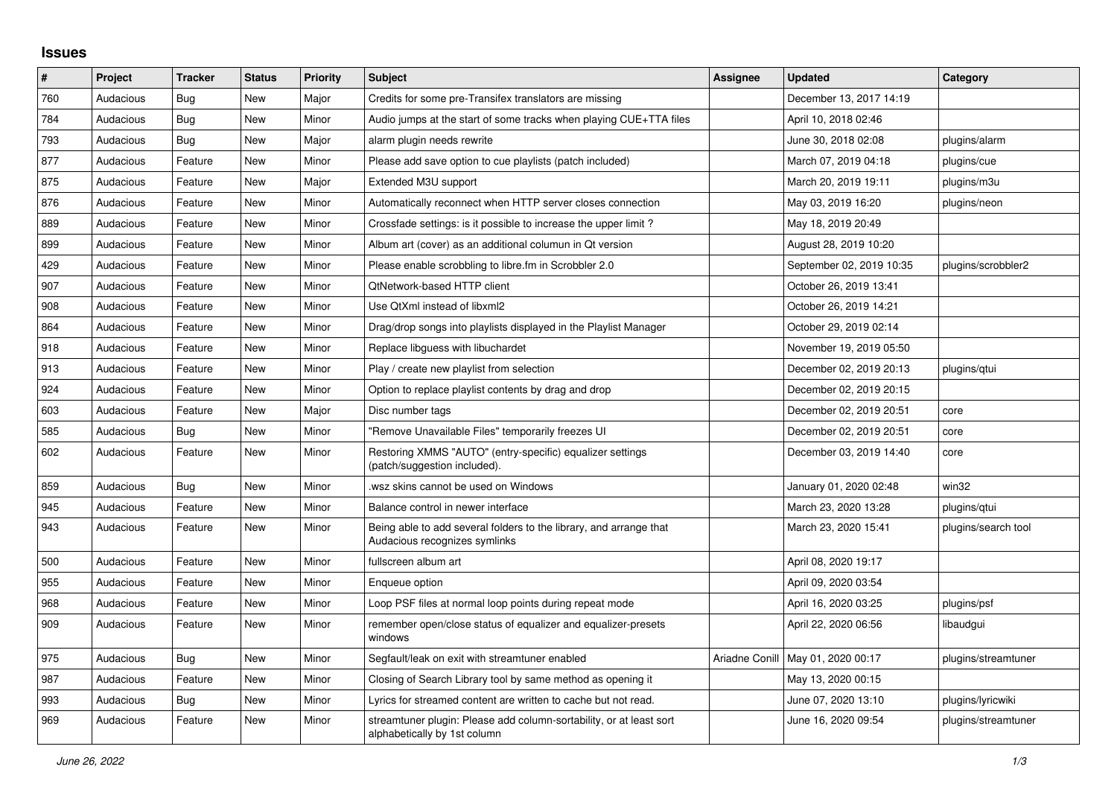## **Issues**

| ∦   | Project   | <b>Tracker</b> | <b>Status</b> | <b>Priority</b> | <b>Subject</b>                                                                                      | Assignee | <b>Updated</b>                      | Category            |
|-----|-----------|----------------|---------------|-----------------|-----------------------------------------------------------------------------------------------------|----------|-------------------------------------|---------------------|
| 760 | Audacious | Bug            | <b>New</b>    | Major           | Credits for some pre-Transifex translators are missing                                              |          | December 13, 2017 14:19             |                     |
| 784 | Audacious | Bug            | <b>New</b>    | Minor           | Audio jumps at the start of some tracks when playing CUE+TTA files                                  |          | April 10, 2018 02:46                |                     |
| 793 | Audacious | Bug            | <b>New</b>    | Major           | alarm plugin needs rewrite                                                                          |          | June 30, 2018 02:08                 | plugins/alarm       |
| 877 | Audacious | Feature        | <b>New</b>    | Minor           | Please add save option to cue playlists (patch included)                                            |          | March 07, 2019 04:18                | plugins/cue         |
| 875 | Audacious | Feature        | <b>New</b>    | Major           | Extended M3U support                                                                                |          | March 20, 2019 19:11                | plugins/m3u         |
| 876 | Audacious | Feature        | <b>New</b>    | Minor           | Automatically reconnect when HTTP server closes connection                                          |          | May 03, 2019 16:20                  | plugins/neon        |
| 889 | Audacious | Feature        | <b>New</b>    | Minor           | Crossfade settings: is it possible to increase the upper limit?                                     |          | May 18, 2019 20:49                  |                     |
| 899 | Audacious | Feature        | <b>New</b>    | Minor           | Album art (cover) as an additional columun in Qt version                                            |          | August 28, 2019 10:20               |                     |
| 429 | Audacious | Feature        | <b>New</b>    | Minor           | Please enable scrobbling to libre.fm in Scrobbler 2.0                                               |          | September 02, 2019 10:35            | plugins/scrobbler2  |
| 907 | Audacious | Feature        | New           | Minor           | QtNetwork-based HTTP client                                                                         |          | October 26, 2019 13:41              |                     |
| 908 | Audacious | Feature        | <b>New</b>    | Minor           | Use QtXml instead of libxml2                                                                        |          | October 26, 2019 14:21              |                     |
| 864 | Audacious | Feature        | <b>New</b>    | Minor           | Drag/drop songs into playlists displayed in the Playlist Manager                                    |          | October 29, 2019 02:14              |                     |
| 918 | Audacious | Feature        | <b>New</b>    | Minor           | Replace libguess with libuchardet                                                                   |          | November 19, 2019 05:50             |                     |
| 913 | Audacious | Feature        | <b>New</b>    | Minor           | Play / create new playlist from selection                                                           |          | December 02, 2019 20:13             | plugins/gtui        |
| 924 | Audacious | Feature        | <b>New</b>    | Minor           | Option to replace playlist contents by drag and drop                                                |          | December 02, 2019 20:15             |                     |
| 603 | Audacious | Feature        | <b>New</b>    | Major           | Disc number tags                                                                                    |          | December 02, 2019 20:51             | core                |
| 585 | Audacious | Bug            | New           | Minor           | "Remove Unavailable Files" temporarily freezes UI                                                   |          | December 02, 2019 20:51             | core                |
| 602 | Audacious | Feature        | <b>New</b>    | Minor           | Restoring XMMS "AUTO" (entry-specific) equalizer settings<br>(patch/suggestion included).           |          | December 03, 2019 14:40             | core                |
| 859 | Audacious | Bug            | <b>New</b>    | Minor           | wsz skins cannot be used on Windows                                                                 |          | January 01, 2020 02:48              | win32               |
| 945 | Audacious | Feature        | <b>New</b>    | Minor           | Balance control in newer interface                                                                  |          | March 23, 2020 13:28                | plugins/qtui        |
| 943 | Audacious | Feature        | <b>New</b>    | Minor           | Being able to add several folders to the library, and arrange that<br>Audacious recognizes symlinks |          | March 23, 2020 15:41                | plugins/search tool |
| 500 | Audacious | Feature        | <b>New</b>    | Minor           | fullscreen album art                                                                                |          | April 08, 2020 19:17                |                     |
| 955 | Audacious | Feature        | <b>New</b>    | Minor           | Enqueue option                                                                                      |          | April 09, 2020 03:54                |                     |
| 968 | Audacious | Feature        | <b>New</b>    | Minor           | Loop PSF files at normal loop points during repeat mode                                             |          | April 16, 2020 03:25                | plugins/psf         |
| 909 | Audacious | Feature        | <b>New</b>    | Minor           | remember open/close status of equalizer and equalizer-presets<br>windows                            |          | April 22, 2020 06:56                | libaudgui           |
| 975 | Audacious | Bug            | <b>New</b>    | Minor           | Segfault/leak on exit with streamtuner enabled                                                      |          | Ariadne Conill   May 01, 2020 00:17 | plugins/streamtuner |
| 987 | Audacious | Feature        | <b>New</b>    | Minor           | Closing of Search Library tool by same method as opening it                                         |          | May 13, 2020 00:15                  |                     |
| 993 | Audacious | Bug            | New           | Minor           | Lyrics for streamed content are written to cache but not read.                                      |          | June 07, 2020 13:10                 | plugins/lyricwiki   |
| 969 | Audacious | Feature        | <b>New</b>    | Minor           | streamtuner plugin: Please add column-sortability, or at least sort<br>alphabetically by 1st column |          | June 16, 2020 09:54                 | plugins/streamtuner |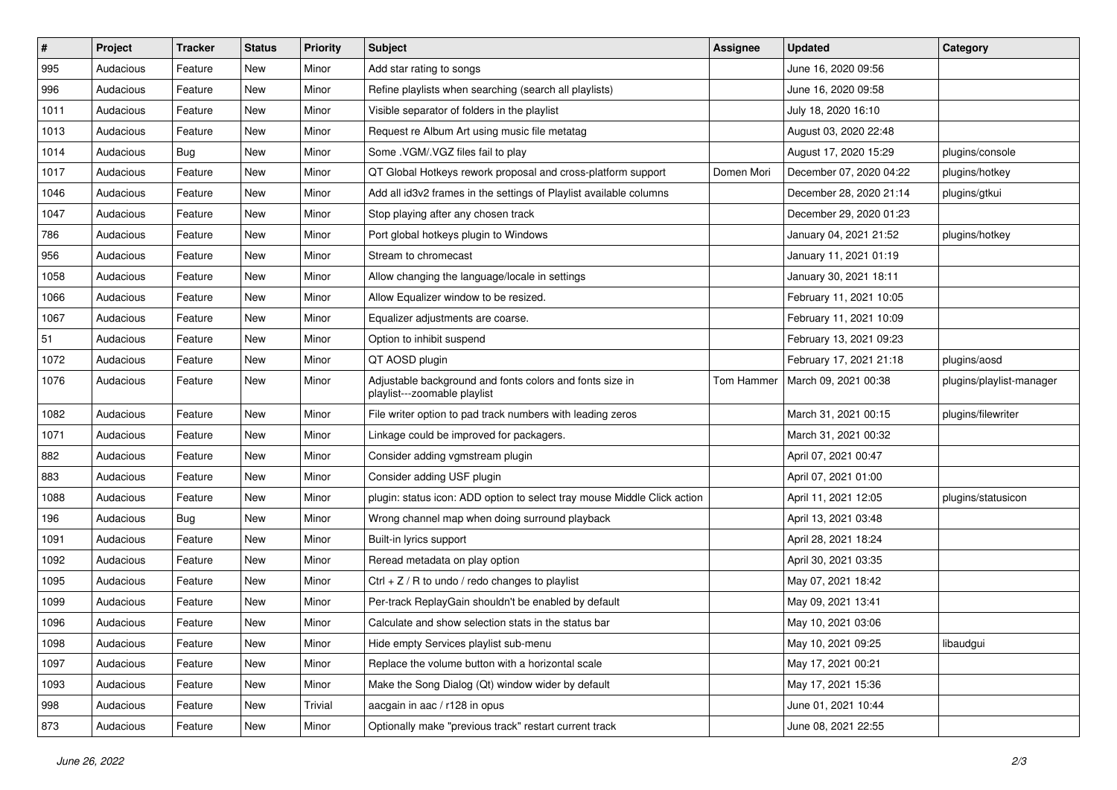| $\#$ | Project   | <b>Tracker</b> | <b>Status</b> | <b>Priority</b> | Subject                                                                                  | <b>Assignee</b> | <b>Updated</b>          | Category                 |
|------|-----------|----------------|---------------|-----------------|------------------------------------------------------------------------------------------|-----------------|-------------------------|--------------------------|
| 995  | Audacious | Feature        | New           | Minor           | Add star rating to songs                                                                 |                 | June 16, 2020 09:56     |                          |
| 996  | Audacious | Feature        | <b>New</b>    | Minor           | Refine playlists when searching (search all playlists)                                   |                 | June 16, 2020 09:58     |                          |
| 1011 | Audacious | Feature        | New           | Minor           | Visible separator of folders in the playlist                                             |                 | July 18, 2020 16:10     |                          |
| 1013 | Audacious | Feature        | New           | Minor           | Request re Album Art using music file metatag                                            |                 | August 03, 2020 22:48   |                          |
| 1014 | Audacious | <b>Bug</b>     | New           | Minor           | Some .VGM/.VGZ files fail to play                                                        |                 | August 17, 2020 15:29   | plugins/console          |
| 1017 | Audacious | Feature        | New           | Minor           | QT Global Hotkeys rework proposal and cross-platform support                             | Domen Mori      | December 07, 2020 04:22 | plugins/hotkey           |
| 1046 | Audacious | Feature        | New           | Minor           | Add all id3v2 frames in the settings of Playlist available columns                       |                 | December 28, 2020 21:14 | plugins/gtkui            |
| 1047 | Audacious | Feature        | New           | Minor           | Stop playing after any chosen track                                                      |                 | December 29, 2020 01:23 |                          |
| 786  | Audacious | Feature        | New           | Minor           | Port global hotkeys plugin to Windows                                                    |                 | January 04, 2021 21:52  | plugins/hotkey           |
| 956  | Audacious | Feature        | New           | Minor           | Stream to chromecast                                                                     |                 | January 11, 2021 01:19  |                          |
| 1058 | Audacious | Feature        | New           | Minor           | Allow changing the language/locale in settings                                           |                 | January 30, 2021 18:11  |                          |
| 1066 | Audacious | Feature        | New           | Minor           | Allow Equalizer window to be resized.                                                    |                 | February 11, 2021 10:05 |                          |
| 1067 | Audacious | Feature        | New           | Minor           | Equalizer adjustments are coarse.                                                        |                 | February 11, 2021 10:09 |                          |
| 51   | Audacious | Feature        | New           | Minor           | Option to inhibit suspend                                                                |                 | February 13, 2021 09:23 |                          |
| 1072 | Audacious | Feature        | New           | Minor           | QT AOSD plugin                                                                           |                 | February 17, 2021 21:18 | plugins/aosd             |
| 1076 | Audacious | Feature        | New           | Minor           | Adjustable background and fonts colors and fonts size in<br>playlist---zoomable playlist | Tom Hammer      | March 09, 2021 00:38    | plugins/playlist-manager |
| 1082 | Audacious | Feature        | New           | Minor           | File writer option to pad track numbers with leading zeros                               |                 | March 31, 2021 00:15    | plugins/filewriter       |
| 1071 | Audacious | Feature        | New           | Minor           | Linkage could be improved for packagers.                                                 |                 | March 31, 2021 00:32    |                          |
| 882  | Audacious | Feature        | New           | Minor           | Consider adding vgmstream plugin                                                         |                 | April 07, 2021 00:47    |                          |
| 883  | Audacious | Feature        | New           | Minor           | Consider adding USF plugin                                                               |                 | April 07, 2021 01:00    |                          |
| 1088 | Audacious | Feature        | New           | Minor           | plugin: status icon: ADD option to select tray mouse Middle Click action                 |                 | April 11, 2021 12:05    | plugins/statusicon       |
| 196  | Audacious | Bug            | New           | Minor           | Wrong channel map when doing surround playback                                           |                 | April 13, 2021 03:48    |                          |
| 1091 | Audacious | Feature        | New           | Minor           | Built-in lyrics support                                                                  |                 | April 28, 2021 18:24    |                          |
| 1092 | Audacious | Feature        | New           | Minor           | Reread metadata on play option                                                           |                 | April 30, 2021 03:35    |                          |
| 1095 | Audacious | Feature        | New           | Minor           | Ctrl + $Z$ / R to undo / redo changes to playlist                                        |                 | May 07, 2021 18:42      |                          |
| 1099 | Audacious | Feature        | New           | Minor           | Per-track ReplayGain shouldn't be enabled by default                                     |                 | May 09, 2021 13:41      |                          |
| 1096 | Audacious | Feature        | New           | Minor           | Calculate and show selection stats in the status bar                                     |                 | May 10, 2021 03:06      |                          |
| 1098 | Audacious | Feature        | New           | Minor           | Hide empty Services playlist sub-menu                                                    |                 | May 10, 2021 09:25      | libaudgui                |
| 1097 | Audacious | Feature        | New           | Minor           | Replace the volume button with a horizontal scale                                        |                 | May 17, 2021 00:21      |                          |
| 1093 | Audacious | Feature        | New           | Minor           | Make the Song Dialog (Qt) window wider by default                                        |                 | May 17, 2021 15:36      |                          |
| 998  | Audacious | Feature        | New           | Trivial         | aacgain in aac / r128 in opus                                                            |                 | June 01, 2021 10:44     |                          |
| 873  | Audacious | Feature        | New           | Minor           | Optionally make "previous track" restart current track                                   |                 | June 08, 2021 22:55     |                          |